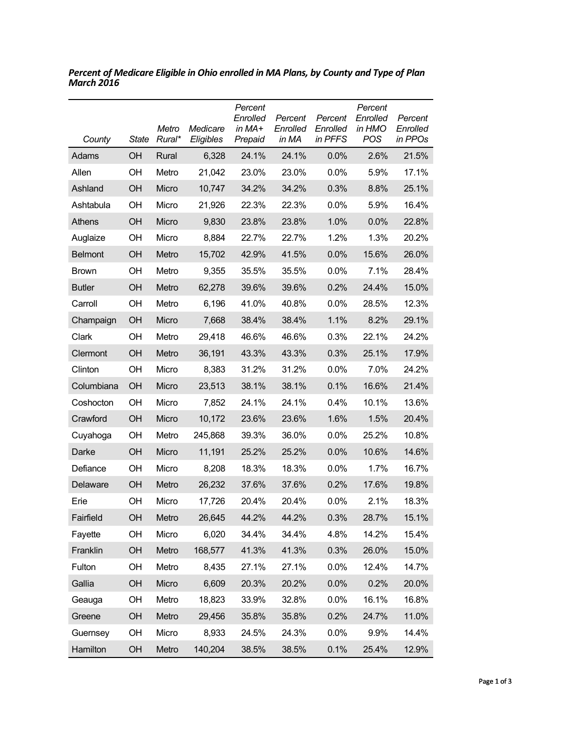| County         | <b>State</b> | Metro<br>Rural* | Medicare<br>Eligibles | Percent<br>Enrolled<br>in MA+<br>Prepaid | Percent<br>Enrolled<br>in MA | Percent<br>Enrolled<br>in PFFS | Percent<br>Enrolled<br>in HMO<br>POS | Percent<br>Enrolled<br>in PPOs |
|----------------|--------------|-----------------|-----------------------|------------------------------------------|------------------------------|--------------------------------|--------------------------------------|--------------------------------|
| Adams          | OH           | Rural           | 6,328                 | 24.1%                                    | 24.1%                        | 0.0%                           | 2.6%                                 | 21.5%                          |
| Allen          | OН           | Metro           | 21,042                | 23.0%                                    | 23.0%                        | 0.0%                           | 5.9%                                 | 17.1%                          |
| Ashland        | OH           | Micro           | 10,747                | 34.2%                                    | 34.2%                        | 0.3%                           | 8.8%                                 | 25.1%                          |
| Ashtabula      | OH           | Micro           | 21,926                | 22.3%                                    | 22.3%                        | 0.0%                           | 5.9%                                 | 16.4%                          |
| Athens         | OH           | Micro           | 9,830                 | 23.8%                                    | 23.8%                        | 1.0%                           | 0.0%                                 | 22.8%                          |
| Auglaize       | OH           | Micro           | 8,884                 | 22.7%                                    | 22.7%                        | 1.2%                           | 1.3%                                 | 20.2%                          |
| <b>Belmont</b> | OH           | Metro           | 15,702                | 42.9%                                    | 41.5%                        | 0.0%                           | 15.6%                                | 26.0%                          |
| <b>Brown</b>   | OH           | Metro           | 9,355                 | 35.5%                                    | 35.5%                        | 0.0%                           | 7.1%                                 | 28.4%                          |
| <b>Butler</b>  | OH           | Metro           | 62,278                | 39.6%                                    | 39.6%                        | 0.2%                           | 24.4%                                | 15.0%                          |
| Carroll        | OH           | Metro           | 6,196                 | 41.0%                                    | 40.8%                        | 0.0%                           | 28.5%                                | 12.3%                          |
| Champaign      | OH           | Micro           | 7,668                 | 38.4%                                    | 38.4%                        | 1.1%                           | 8.2%                                 | 29.1%                          |
| Clark          | OH           | Metro           | 29,418                | 46.6%                                    | 46.6%                        | 0.3%                           | 22.1%                                | 24.2%                          |
| Clermont       | OH           | Metro           | 36,191                | 43.3%                                    | 43.3%                        | 0.3%                           | 25.1%                                | 17.9%                          |
| Clinton        | OH           | Micro           | 8,383                 | 31.2%                                    | 31.2%                        | 0.0%                           | 7.0%                                 | 24.2%                          |
| Columbiana     | OH           | Micro           | 23,513                | 38.1%                                    | 38.1%                        | 0.1%                           | 16.6%                                | 21.4%                          |
| Coshocton      | OH           | Micro           | 7,852                 | 24.1%                                    | 24.1%                        | 0.4%                           | 10.1%                                | 13.6%                          |
| Crawford       | OH           | Micro           | 10,172                | 23.6%                                    | 23.6%                        | 1.6%                           | 1.5%                                 | 20.4%                          |
| Cuyahoga       | OН           | Metro           | 245,868               | 39.3%                                    | 36.0%                        | $0.0\%$                        | 25.2%                                | 10.8%                          |
| Darke          | OH           | Micro           | 11,191                | 25.2%                                    | 25.2%                        | 0.0%                           | 10.6%                                | 14.6%                          |
| Defiance       | OН           | Micro           | 8,208                 | 18.3%                                    | 18.3%                        | $0.0\%$                        | 1.7%                                 | 16.7%                          |
| Delaware       | OH           | Metro           | 26,232                | 37.6%                                    | 37.6%                        | 0.2%                           | 17.6%                                | 19.8%                          |
| Erie           | OН           | Micro           | 17,726                | 20.4%                                    | 20.4%                        | $0.0\%$                        | 2.1%                                 | 18.3%                          |
| Fairfield      | OH           | Metro           | 26,645                | 44.2%                                    | 44.2%                        | 0.3%                           | 28.7%                                | 15.1%                          |
| Fayette        | OH           | Micro           | 6,020                 | 34.4%                                    | 34.4%                        | 4.8%                           | 14.2%                                | 15.4%                          |
| Franklin       | OH           | Metro           | 168,577               | 41.3%                                    | 41.3%                        | 0.3%                           | 26.0%                                | 15.0%                          |
| Fulton         | OH           | Metro           | 8,435                 | 27.1%                                    | 27.1%                        | 0.0%                           | 12.4%                                | 14.7%                          |
| Gallia         | OH           | Micro           | 6,609                 | 20.3%                                    | 20.2%                        | 0.0%                           | 0.2%                                 | 20.0%                          |
| Geauga         | OH           | Metro           | 18,823                | 33.9%                                    | 32.8%                        | 0.0%                           | 16.1%                                | 16.8%                          |
| Greene         | OH           | Metro           | 29,456                | 35.8%                                    | 35.8%                        | 0.2%                           | 24.7%                                | 11.0%                          |
| Guernsey       | OH           | Micro           | 8,933                 | 24.5%                                    | 24.3%                        | 0.0%                           | 9.9%                                 | 14.4%                          |
| Hamilton       | OH           | Metro           | 140,204               | 38.5%                                    | 38.5%                        | 0.1%                           | 25.4%                                | 12.9%                          |

*Percent of Medicare Eligible in Ohio enrolled in MA Plans, by County and Type of Plan March 2016*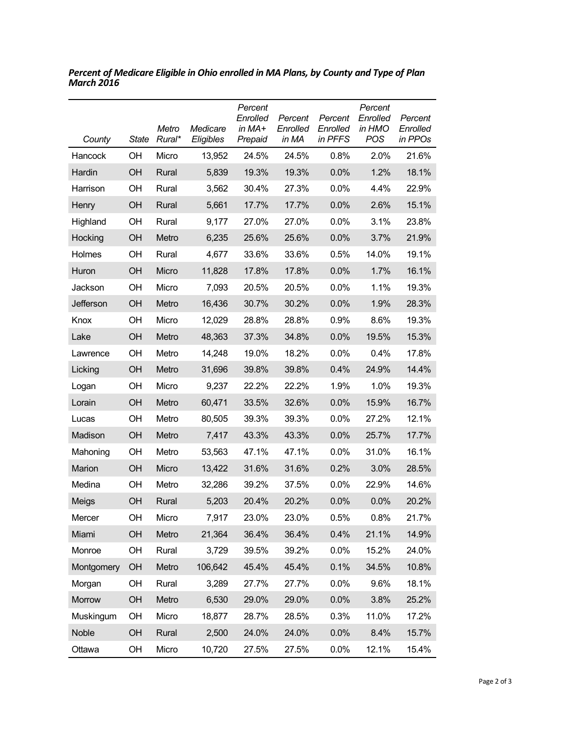| County     | State     | Metro<br>Rural* | Medicare<br>Eligibles | Percent<br>Enrolled<br>in MA+<br>Prepaid | Percent<br>Enrolled<br>in MA | Percent<br>Enrolled<br>in PFFS | Percent<br>Enrolled<br>in HMO<br><b>POS</b> | Percent<br>Enrolled<br>in PPOs |
|------------|-----------|-----------------|-----------------------|------------------------------------------|------------------------------|--------------------------------|---------------------------------------------|--------------------------------|
| Hancock    | OH        | Micro           | 13,952                | 24.5%                                    | 24.5%                        | 0.8%                           | 2.0%                                        | 21.6%                          |
| Hardin     | OH        | Rural           | 5,839                 | 19.3%                                    | 19.3%                        | 0.0%                           | 1.2%                                        | 18.1%                          |
| Harrison   | OН        | Rural           | 3,562                 | 30.4%                                    | 27.3%                        | 0.0%                           | 4.4%                                        | 22.9%                          |
| Henry      | OH        | Rural           | 5,661                 | 17.7%                                    | 17.7%                        | 0.0%                           | 2.6%                                        | 15.1%                          |
| Highland   | OН        | Rural           | 9,177                 | 27.0%                                    | 27.0%                        | $0.0\%$                        | 3.1%                                        | 23.8%                          |
| Hocking    | OH        | Metro           | 6,235                 | 25.6%                                    | 25.6%                        | 0.0%                           | 3.7%                                        | 21.9%                          |
| Holmes     | OН        | Rural           | 4,677                 | 33.6%                                    | 33.6%                        | 0.5%                           | 14.0%                                       | 19.1%                          |
| Huron      | <b>OH</b> | Micro           | 11,828                | 17.8%                                    | 17.8%                        | 0.0%                           | 1.7%                                        | 16.1%                          |
| Jackson    | OН        | Micro           | 7,093                 | 20.5%                                    | 20.5%                        | $0.0\%$                        | 1.1%                                        | 19.3%                          |
| Jefferson  | OH        | Metro           | 16,436                | 30.7%                                    | 30.2%                        | 0.0%                           | 1.9%                                        | 28.3%                          |
| Knox       | OН        | Micro           | 12,029                | 28.8%                                    | 28.8%                        | 0.9%                           | 8.6%                                        | 19.3%                          |
| Lake       | OH        | Metro           | 48,363                | 37.3%                                    | 34.8%                        | 0.0%                           | 19.5%                                       | 15.3%                          |
| Lawrence   | OН        | Metro           | 14,248                | 19.0%                                    | 18.2%                        | $0.0\%$                        | 0.4%                                        | 17.8%                          |
| Licking    | OH        | Metro           | 31,696                | 39.8%                                    | 39.8%                        | 0.4%                           | 24.9%                                       | 14.4%                          |
| Logan      | OH        | Micro           | 9,237                 | 22.2%                                    | 22.2%                        | 1.9%                           | 1.0%                                        | 19.3%                          |
| Lorain     | OH        | Metro           | 60,471                | 33.5%                                    | 32.6%                        | 0.0%                           | 15.9%                                       | 16.7%                          |
| Lucas      | OH        | Metro           | 80,505                | 39.3%                                    | 39.3%                        | 0.0%                           | 27.2%                                       | 12.1%                          |
| Madison    | <b>OH</b> | Metro           | 7,417                 | 43.3%                                    | 43.3%                        | 0.0%                           | 25.7%                                       | 17.7%                          |
| Mahoning   | OH        | Metro           | 53,563                | 47.1%                                    | 47.1%                        | 0.0%                           | 31.0%                                       | 16.1%                          |
| Marion     | OH        | Micro           | 13,422                | 31.6%                                    | 31.6%                        | 0.2%                           | 3.0%                                        | 28.5%                          |
| Medina     | OН        | Metro           | 32,286                | 39.2%                                    | 37.5%                        | 0.0%                           | 22.9%                                       | 14.6%                          |
| Meigs      | <b>OH</b> | Rural           | 5,203                 | 20.4%                                    | 20.2%                        | 0.0%                           | 0.0%                                        | 20.2%                          |
| Mercer     | OH        | Micro           | 7,917                 | 23.0%                                    | 23.0%                        | 0.5%                           | 0.8%                                        | 21.7%                          |
| Miami      | OH        | Metro           | 21,364                | 36.4%                                    | 36.4%                        | 0.4%                           | 21.1%                                       | 14.9%                          |
| Monroe     | OH        | Rural           | 3,729                 | 39.5%                                    | 39.2%                        | 0.0%                           | 15.2%                                       | 24.0%                          |
| Montgomery | OH        | Metro           | 106,642               | 45.4%                                    | 45.4%                        | 0.1%                           | 34.5%                                       | 10.8%                          |
| Morgan     | OH        | Rural           | 3,289                 | 27.7%                                    | 27.7%                        | 0.0%                           | 9.6%                                        | 18.1%                          |
| Morrow     | OH        | Metro           | 6,530                 | 29.0%                                    | 29.0%                        | 0.0%                           | 3.8%                                        | 25.2%                          |
| Muskingum  | OH        | Micro           | 18,877                | 28.7%                                    | 28.5%                        | 0.3%                           | 11.0%                                       | 17.2%                          |
| Noble      | OH        | Rural           | 2,500                 | 24.0%                                    | 24.0%                        | 0.0%                           | 8.4%                                        | 15.7%                          |
| Ottawa     | OH        | Micro           | 10,720                | 27.5%                                    | 27.5%                        | 0.0%                           | 12.1%                                       | 15.4%                          |

*Percent of Medicare Eligible in Ohio enrolled in MA Plans, by County and Type of Plan March 2016*